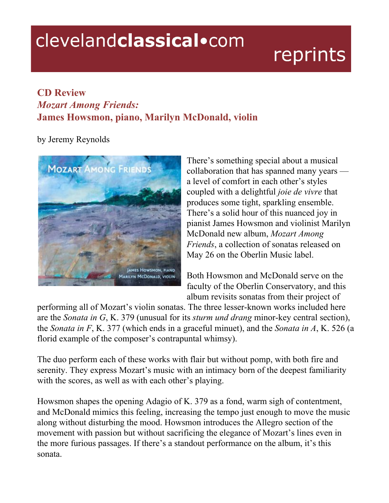## clevelandclassical.com

## reprints

## **CD Review** *Mozart Among Friends:* **James Howsmon, piano, Marilyn McDonald, violin**

by Jeremy Reynolds



There's something special about a musical collaboration that has spanned many years a level of comfort in each other's styles coupled with a delightful *joie de vivre* that produces some tight, sparkling ensemble. There's a solid hour of this nuanced joy in pianist James Howsmon and violinist Marilyn McDonald new album, *Mozart Among Friends*, a collection of sonatas released on May 26 on the Oberlin Music label.

Both Howsmon and McDonald serve on the faculty of the Oberlin Conservatory, and this album revisits sonatas from their project of

performing all of Mozart's violin sonatas. The three lesser-known works included here are the *Sonata in G*, K. 379 (unusual for its *sturm und drang* minor-key central section), the *Sonata in F*, K. 377 (which ends in a graceful minuet), and the *Sonata in A*, K. 526 (a florid example of the composer's contrapuntal whimsy).

The duo perform each of these works with flair but without pomp, with both fire and serenity. They express Mozart's music with an intimacy born of the deepest familiarity with the scores, as well as with each other's playing.

Howsmon shapes the opening Adagio of K. 379 as a fond, warm sigh of contentment, and McDonald mimics this feeling, increasing the tempo just enough to move the music along without disturbing the mood. Howsmon introduces the Allegro section of the movement with passion but without sacrificing the elegance of Mozart's lines even in the more furious passages. If there's a standout performance on the album, it's this sonata.